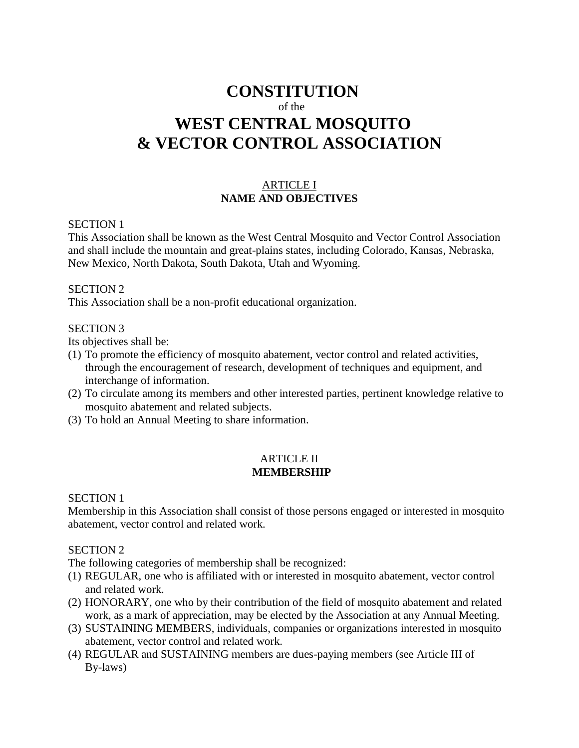# **CONSTITUTION** of the **WEST CENTRAL MOSQUITO & VECTOR CONTROL ASSOCIATION**

# ARTICLE I **NAME AND OBJECTIVES**

#### SECTION 1

This Association shall be known as the West Central Mosquito and Vector Control Association and shall include the mountain and great-plains states, including Colorado, Kansas, Nebraska, New Mexico, North Dakota, South Dakota, Utah and Wyoming.

#### SECTION 2

This Association shall be a non-profit educational organization.

#### SECTION 3

Its objectives shall be:

- (1) To promote the efficiency of mosquito abatement, vector control and related activities, through the encouragement of research, development of techniques and equipment, and interchange of information.
- (2) To circulate among its members and other interested parties, pertinent knowledge relative to mosquito abatement and related subjects.
- (3) To hold an Annual Meeting to share information.

## ARTICLE II **MEMBERSHIP**

#### SECTION 1

Membership in this Association shall consist of those persons engaged or interested in mosquito abatement, vector control and related work.

## SECTION 2

The following categories of membership shall be recognized:

- (1) REGULAR, one who is affiliated with or interested in mosquito abatement, vector control and related work.
- (2) HONORARY, one who by their contribution of the field of mosquito abatement and related work, as a mark of appreciation, may be elected by the Association at any Annual Meeting.
- (3) SUSTAINING MEMBERS, individuals, companies or organizations interested in mosquito abatement, vector control and related work.
- (4) REGULAR and SUSTAINING members are dues-paying members (see Article III of By-laws)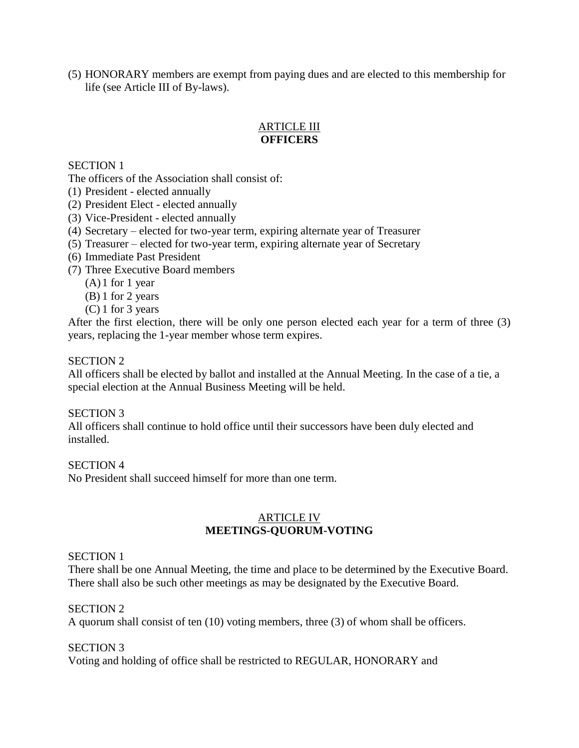(5) HONORARY members are exempt from paying dues and are elected to this membership for life (see Article III of By-laws).

# ARTICLE III **OFFICERS**

## SECTION 1

The officers of the Association shall consist of:

- (1) President elected annually
- (2) President Elect elected annually
- (3) Vice-President elected annually
- (4) Secretary elected for two-year term, expiring alternate year of Treasurer
- (5) Treasurer elected for two-year term, expiring alternate year of Secretary
- (6) Immediate Past President
- (7) Three Executive Board members
	- $(A)$ 1 for 1 year
	- (B) 1 for 2 years
	- (C) 1 for 3 years

After the first election, there will be only one person elected each year for a term of three (3) years, replacing the 1-year member whose term expires.

#### SECTION 2

All officers shall be elected by ballot and installed at the Annual Meeting. In the case of a tie, a special election at the Annual Business Meeting will be held.

## SECTION 3

All officers shall continue to hold office until their successors have been duly elected and installed.

## SECTION 4

No President shall succeed himself for more than one term.

## ARTICLE IV **MEETINGS-QUORUM-VOTING**

## SECTION 1

There shall be one Annual Meeting, the time and place to be determined by the Executive Board. There shall also be such other meetings as may be designated by the Executive Board.

## SECTION 2

A quorum shall consist of ten (10) voting members, three (3) of whom shall be officers.

## SECTION 3

Voting and holding of office shall be restricted to REGULAR, HONORARY and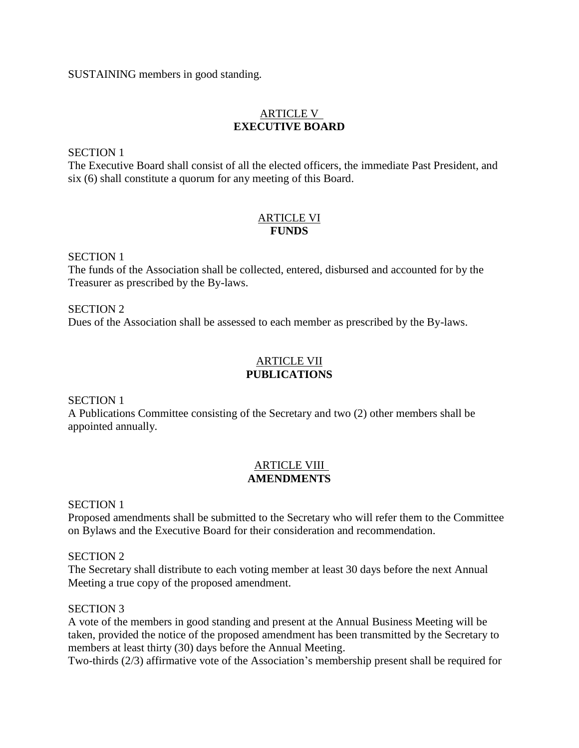SUSTAINING members in good standing.

# ARTICLE V **EXECUTIVE BOARD**

SECTION 1

The Executive Board shall consist of all the elected officers, the immediate Past President, and six (6) shall constitute a quorum for any meeting of this Board.

## ARTICLE VI **FUNDS**

SECTION 1

The funds of the Association shall be collected, entered, disbursed and accounted for by the Treasurer as prescribed by the By-laws.

SECTION 2 Dues of the Association shall be assessed to each member as prescribed by the By-laws.

# ARTICLE VII **PUBLICATIONS**

SECTION 1

A Publications Committee consisting of the Secretary and two (2) other members shall be appointed annually.

# ARTICLE VIII **AMENDMENTS**

SECTION 1

Proposed amendments shall be submitted to the Secretary who will refer them to the Committee on Bylaws and the Executive Board for their consideration and recommendation.

SECTION 2

The Secretary shall distribute to each voting member at least 30 days before the next Annual Meeting a true copy of the proposed amendment.

# SECTION 3

A vote of the members in good standing and present at the Annual Business Meeting will be taken, provided the notice of the proposed amendment has been transmitted by the Secretary to members at least thirty (30) days before the Annual Meeting.

Two-thirds (2/3) affirmative vote of the Association's membership present shall be required for